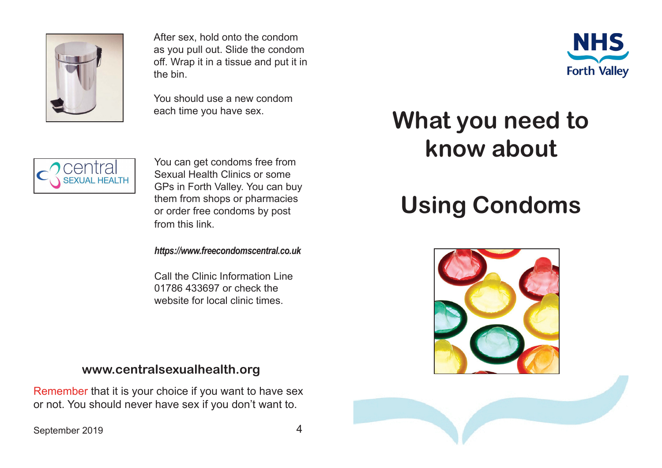

After sex, hold onto the condom as you pull out. Slide the condom off. Wrap it in a tissue and put it in the bin.

You should use a new condom each time you have sex.



You can get condoms free from Sexual Health Clinics or some GPs in Forth Valley. You can buy them from shops or pharmacies or order free condoms by post from this link.

*https://www.freecondomscentral.co.uk*

Call the Clinic Information Line 01786 433697 or check the website for local clinic times.

## **www.centralsexualhealth.org**

Remember that it is your choice if you want to have sex or not. You should never have sex if you don't want to.

## September 2019 4



## **What you need to know about**

## **Using Condoms**